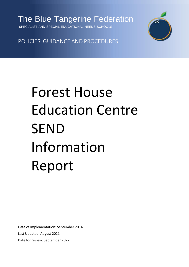

SPECIALIST AND SPECIAL EDUCATIONAL NEEDS SCHOOLS



POLICIES, GUIDANCE AND PROCEDURES

# Forest House Education Centre SEND Information Report

Date of Implementation: September 2014 Last Updated: August 2021 Date for review: September 2022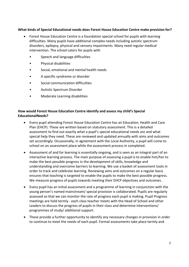# **What kinds of Special Educational needs does Forest House Education Centre make provision for?**

- Forest House Education Centre is a foundation special school for pupils with learning difficulties. Many pupils have additional complex needs including autistic spectrum disorders, epilepsy, physical and sensory impairments. Many need regular medical intervention. The school caters for pupils with
	- Speech and language difficulties
	- Physical disabilities
	- Social, emotional and mental health needs
	- A specific syndrome or disorder
	- Social communication difficulties
	- Autistic Spectrum Disorder
	- Moderate Learning disabilities

# **How would Forest House Education Centre identify and assess my child's Special EducationalNeeds?**

- Every pupil attending Forest House Education Centre has an Education, Health and Care Plan (EHCP). These are written based on statutory assessment. This is a detailed assessment to find out exactly what a pupil's special educational needs are and what special help they need. These are reviewed and updated annually with aims and outcomes set accordingly. Occasionally, in agreement with the Local Authority, a pupil will come to school on an assessment place while the assessment process in completed.
- Assessment of and for learning is essentially ongoing, and is seen as an integral part of an interactive learning process. The main purpose of assessing a pupil is to enable him/her to make the best possible progress in the development of skills, knowledge and understanding and overcome barriers to learning. We use a basket of assessment tools in order to track and celebrate learning. Reviewing aims and outcomes on a regular basis ensures that teaching is targeted to enable the pupils to make the best possible progress. We measure progress of pupils towards meeting their EHCP objectives and outcomes.
- Every pupil has an initial assessment and a programme of learning in conjunction with the young person's named mainstream/ special provision is collaborated. Pupils are regularly assessed so that we can monitor the rate of progress each pupil is making. Pupil Progress meetings are held termly - each class teacher meets with the Head of School and other Leaders to discuss the progress of pupils in their class and determine interventions/ programmes of study/ additional support.
- These provide a further opportunity to identify any necessary changes in provision in order to continue to meet the needs of each pupil. Formal assessments take place termly and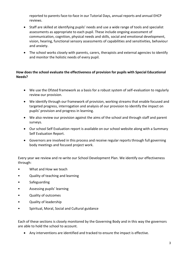reported to parents face-to-face in our Tutorial Days, annual reports and annual EHCP reviews.

- Staff are skilled at identifying pupils' needs and use a wide range of tools and specialist assessments as appropriate to each pupil. These include ongoing assessment of communication, cognition, physical needs and skills, social and emotional development, vision, hearing, functional sensory assessments of capabilities and sensitivities, behaviour and anxiety.
- The school works closely with parents, carers, therapists and external agencies to identify and monitor the holistic needs of every pupil.

# **How does the school evaluate the effectiveness of provision for pupils with Special Educational Needs?**

- We use the Ofsted framework as a basis for a robust system of self-evaluation to regularly review our provision.
- We identify through our framework of provision, working streams that enable focused and targeted progress, interrogation and analysis of our provision to identify the impact on pupils' provision and progress in learning.
- We also review our provision against the aims of the school and through staff and parent surveys.
- Our school Self Evaluation report is available on our school website along with a Summary Self Evaluation Report.
- Governors are involved in this process and receive regular reports through full governing body meetings and focused project work.

Every year we review and re-write our School Development Plan. We identify our effectiveness through:

- What and How we teach
- Quality of teaching and learning
- **Safeguarding**
- Assessing pupils' learning
- Quality of outcomes
- Quality of leadership
- Spiritual, Moral, Social and Cultural guidance

Each of these sections is closely monitored by the Governing Body and in this way the governors are able to hold the school to account.

Any interventions are identified and tracked to ensure the impact is effective.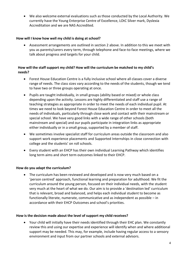We also welcome external evaluations such as those conducted by the Local Authority. We currently have the Young Enterprise Centre of Excellence, LOtC Silver mark, Dyslexia Accreditation and we are NAS Accredited.

# **How will I know how well my child is doing at school?**

 Assessment arrangements are outlined in section 2 above. In addition to this we meet with you as parents/carers every term, through telephone and face-to-face meetings, where we talk about progress and targets for your child.

# **How will the staff support my child? How will the curriculum be matched to my child's needs?**

- Forest House Education Centre is a fully inclusive school where all classes cover a diverse range of needs. The class sizes vary according to the needs of the students, though we tend to have two or three groups operating at once.
- Pupils are taught individually, in small groups (ability based or mixed) or whole class depending upon the activity. Lessons are highly differentiated and staff use a range of teaching strategies as appropriate in order to meet the needs of each individual pupil. At times we need to look beyond Forest House Education Centre in order to meet all the needs of individuals, particularly through close work and contact with their mainstream or special school. We have very good links with a wide range of other schools (both mainstream and special) and our pupils participate in integration links as appropriate either individually or in a small group, supported by a member of staff.
- We sometimes involve specialist staff for curriculum areas outside the classroom and also support work experience placements and Supported Internships in close connection with college and the students' on roll schools.
- Every student with an EHCP has their own individual Learning Pathway which identifies long term aims and short term outcomes linked to their EHCP.

# **How do you adapt the curriculum?**

 The curriculum has been reviewed and developed and is now very much based on a 'person centred' approach, functional learning and preparation for adulthood. We fit the curriculum around the young person, focused on their individual needs, with the student very much at the heart of what we do. Our aim is to provide a 'destination led' curriculum that is relevant, broad and balanced, and helps each individual student to become as functionally literate, numerate, communicative and as independent as possible – in accordance with their EHCP Outcomes and school's priorities.

# **How is the decision made about the level of support my child receives?**

 Your child will initially have their needs identified through their EHC plan. We constantly review this and using our expertise and experience will identify when and where additional support may be needed. This may, for example, include having regular access to a sensory environment and input from our partner schools and external advisors.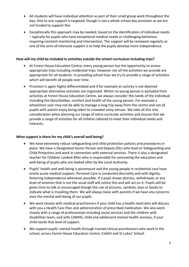- All students will have individual attention as part of their small group work throughout the day. One to one support is targeted, though is not a whole school day provision as we are not funded to support this.
- Exceptionally this approach may be needed, based on the identification of individual needs – typically for pupils who have exceptional medical needs or challenging behaviour requiring constant monitoring and intervention. The support will be reviewed regularly as one of the aims of intensive support is to help the pupils develop more independence.

# **How will my child be included in activities outside the school curriculum including trips?**

- At Forest House Education Centre, every young person has the opportunity to access appropriate trips including residential trips. However not all the activities we provide are appropriate for all students. In providing school trips we try to provide a range of activities which will benefit all people over time.
- Provision is again highly differentiated and if for example an activity is not deemed appropriate alternative activities are organised. Whilst no young person is excluded from activities at Forest House Education Centre, we always consider the needs of the individual including the likes/dislikes, comfort and health of the young person. For example a wheelchair user may not be able to manage a long trip away from the centre and not all pupils with autism enjoy being taken to crowded noisy venues. We take all this into consideration when planning our range of extra-curricular activities and ensure that we provide a range of activities for all children tailored to meet their individual needs and interests.

# **What support is there for my child's overall well-being?**

- We have extremely robust safeguarding and child protection policies and procedures in place. We have a Designated Senior Person and Deputy DSLs who lead on Safeguarding and Child Protection and work in connection with external services. There is also a designated teacher for Children Looked After who is responsible for overseeing the education and well-being of pupils who are looked after by the Local Authority.
- Pupils' health and well-being is paramount and the young people in residential care have onsite acute medical support. Personal Care is conducted discreetly and with dignity, fostering independence whenever possible. If a pupil shows distress, withdrawal, or any level of emotion that is not the usual staff will notice this and will act on it. Pupils will be given time to talk or encouraged though the use of pictures, symbols, toys or books to indicate what is troubling them. We will always liaise with parents if we have any concerns over the mental well-being of our pupils.
- We work closely with medical practitioners if your child has a health need who will discuss with you a Health Care Plan and administration of prescribed medication. We also work closely with a range of professionals including social services and the children with disabilities team; and with CAMHS, child and adolescent mental health services, if your child needs that level of support.
- We support pupils' mental health through trained clinical practitioners who work in the school, across Forest House Education Centre, Collett and St Lukes' School.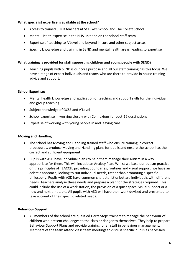# **What specialist expertise is available at the school?**

- Access to trained SEND teachers at St Luke's School and The Collett School
- Mental Health expertise in the NHS unit and on the school staff team
- Expertise of teaching to A'Level and beyond in core and other subject areas
- Specific knowledge and training in SEND and mental health areas, leading to expertise

# **What training is provided for staff supporting children and young people with SEND?**

 Teaching pupils with SEND is our core purpose and all our staff training has this focus. We have a range of expert individuals and teams who are there to provide in house training advice and support.

# **School Expertise:**

- Mental health knowledge and application of teaching and support skills for the individual and group teaching
- Subject knowledge of GCSE and A'Level
- School expertise in working closely with Connexions for post-16 destinations
- Expertise of working with young people in and leaving care

#### **Moving and Handling**

- The school has Moving and Handling trained staff who ensure training in correct procedures, produce Moving and Handling plans for pupils and ensure the school has the correct and sufficient equipment
- Pupils with ASD have individual plans to help them manage their autism in a way appropriate for them. This will include an Anxiety Plan. Whilst we base our autism practice on the principles of TEACCH, providing boundaries, routines and visual support, we have an eclectic approach, looking to suit individual needs, rather than promoting a specific philosophy. Pupils with ASD have common characteristics but are individuals with different needs. Teachers analyse these needs and prepare a plan for the strategies required. This could include the use of a work station, the provision of a quiet space, visual support or a now and next timetable. All pupils with ASD will have their work devised and presented to take account of their specific related needs.

#### **Behaviour Support**

 All members of the school are qualified Herts Steps trainers to manage the behaviour of children who present challenges to the class or danger to themselves. They help to prepare Behaviour Support Plans and provide training for all staff in behaviour management. Members of the team attend class team meetings to discuss specific pupils as necessary.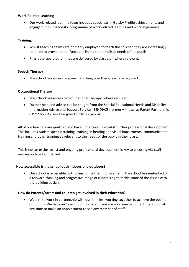# **Work Related Learning**

 Our work related learning focus includes specialists in Gatsby Profile achievements and engage pupils in a holistic programme of work-related learning and work experience.

# **Training:**

- Whilst teaching teams are primarily employed to teach the children they are increasingly required to provide other functions linked to the holistic needs of the pupils.
- Physiotherapy programmes are delivered by class staff where relevant.

#### **Speech Therapy**

• The school has access to speech and language therapy where required.

# **Occupational Therapy**

- The school has access to Occupational Therapy, where required.
- Further help and advice can be sought from the Special Educational Needs and Disability Information Advice and Support Service ( SENDIASS) formerly known as Parent Partnership 01992 555847 [sendiass@hertfordshire.gov.uk](mailto:sendiass@hertfordshire.gov.uk)

All of our teachers are qualified and have undertaken specialist further professional development. This includes Autism specific training, training in hearing and visual impairments, communication training and other training as relevant to the needs of the pupils in their class.

This is not an exclusive list and ongoing professional development is key to ensuring ALL staff remain updated and skilled.

#### **How accessible is the school both indoors and outdoors?**

 Our school is accessible, with plans for further improvement. The school has embarked on a forward-thinking and progressive range of fundraising to tackle some of the issues with the building design.

#### **How do Parents/carers and children get involved in their education?**

 We aim to work in partnership with our families, working together to achieve the best for our pupils. We have an 'open door' policy and you are welcome to contact the school at any time to make an appointment to see any member of staff.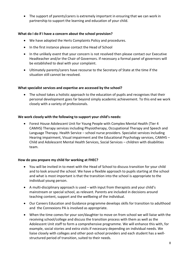The support of parents/carers is extremely important in ensuring that we can work in partnership to support the learning and education of your child.

# **What do I do if I have a concern about the school provision?**

- We have adopted the Herts Complaints Policy and procedures.
- In the first instance please contact the Head of School
- In the unlikely event that your concern is not resolved then please contact our Executive Headteacher and/or the Chair of Governors. If necessary a formal panel of governors will be established to deal with your complaint.
- Ultimately parents/carers have recourse to the Secretary of State at the time if the situation still cannot be resolved.

#### **What specialist services and expertise are accessed by the school?**

• The school takes a holistic approach to the education of pupils and recognises that their personal development goes far beyond simply academic achievement. To this end we work closely with a variety of professionals.

# **We work closely with the following to support your child's needs:**

 Forest House Adolescent Unit for Young People with Complex Mental Health (Tier 4 CAMHS) Therapy services including Physiotherapy, Occupational Therapy and Speech and Language Therapy. Health Service – school nurse providers. Specialist services including Hearing impairment, Visual impairment and the Educational Psychology services, CAMHS – Child and Adolescent Mental Health Services, Social Services – children with disabilities team.

#### **How do you prepare my child for working at FHEC?**

- You will be invited in to meet with the Head of School to discuss transition for your child and to look around the school. We have a flexible approach to pupils starting at the school and what is most important is that the transition into the school is appropriate to the individual young person.
- A multi-disciplinary approach is used with input from therapists and your child's mainstream or special school, as relevant. Parents are included in decisions around teaching content, support and the wellbeing of the individual.
- Our Careers Education and Guidance programme develops skills for transition to adulthood and the Connexions PA is involved as appropriate.
- When the time comes for your son/daughter to move on from school we will liaise with the receiving school/college and discuss the transition process with them as well as the Adolescent Unit staff to form a comprehensive programme. We will enhance this with, for example, social stories and extra visits if necessary depending on individual needs. We liaise closely with colleges and other post-school providers and each student has a wellstructured period of transition, suited to their needs.